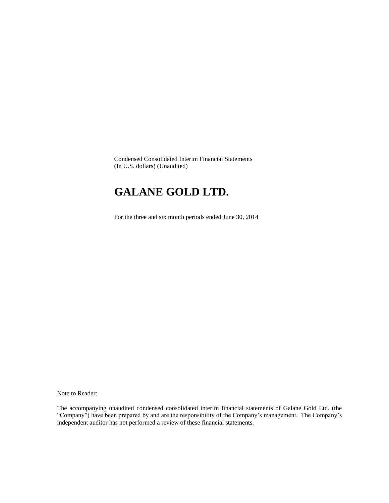Condensed Consolidated Interim Financial Statements (In U.S. dollars) (Unaudited)

# **GALANE GOLD LTD.**

For the three and six month periods ended June 30, 2014

Note to Reader:

The accompanying unaudited condensed consolidated interim financial statements of Galane Gold Ltd. (the "Company") have been prepared by and are the responsibility of the Company's management. The Company's independent auditor has not performed a review of these financial statements.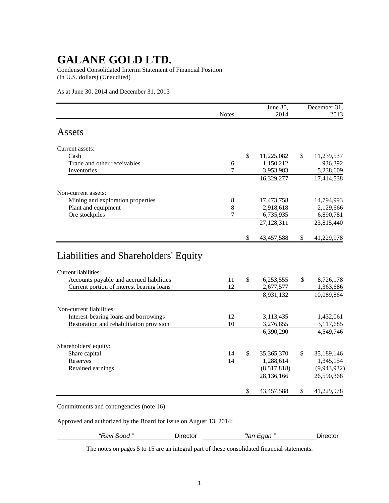Condensed Consolidated Interim Statement of Financial Position (In U.S. dollars) (Unaudited)

As at June 30, 2014 and December 31, 2013

|                                           |              |              | June 30,   | December 31,     |
|-------------------------------------------|--------------|--------------|------------|------------------|
|                                           | <b>Notes</b> |              | 2014       | 2013             |
| Assets                                    |              |              |            |                  |
| Current assets:                           |              |              |            |                  |
| Cash                                      |              | $\mathbb{S}$ | 11,225,082 | \$<br>11,239,537 |
| Trade and other receivables               | 6            |              | 1,150,212  | 936,392          |
| Inventories                               | 7            |              | 3,953,983  | 5,238,609        |
|                                           |              |              | 16,329,277 | 17,414,538       |
| Non-current assets:                       |              |              |            |                  |
| Mining and exploration properties         | 8            |              | 17,473,758 | 14,794,993       |
| Plant and equipment                       | 8            |              | 2,918,618  | 2,129,666        |
| Ore stockpiles                            | 7            |              | 6,735,935  | 6,890,781        |
|                                           |              |              | 27,128,311 | 23,815,440       |
|                                           |              | $\mathbb{S}$ | 43,457,588 | \$<br>41,229,978 |
| Liabilities and Shareholders' Equity      |              |              |            |                  |
| <b>Current liabilities:</b>               |              |              |            |                  |
| Accounts payable and accrued liabilities  | 11           | $\mathbb{S}$ | 6,253,555  | \$<br>8,726,178  |
| Current portion of interest bearing loans | 12           |              | 2,677,577  | 1,363,686        |
|                                           |              |              | 8,931,132  | 10,089,864       |
| Non-current liabilities:                  |              |              |            |                  |
| Interest-bearing loans and borrowings     | 12           |              | 3,113,435  | 1,432,061        |
| Restoration and rehabilitation provision  | 10           |              | 3,276,855  | 3,117,685        |
|                                           |              |              | 6,390,290  | 4,549,746        |
|                                           |              |              |            |                  |

| Shareholders' equity: |    |              |             |
|-----------------------|----|--------------|-------------|
| Share capital         | 14 | 35, 365, 370 | 35,189,146  |
| Reserves              | 14 | 1,288,614    | 1,345,154   |
| Retained earnings     |    | (8,517,818)  | (9,943,932) |
|                       |    | 28,136,166   | 26,590,368  |
|                       |    | 43,457,588   | 41,229,978  |

Commitments and contingencies (note 16)

Approved and authorized by the Board for issue on August 13, 2014:

*"Ravi Sood "* Director *"Ian Egan "* Director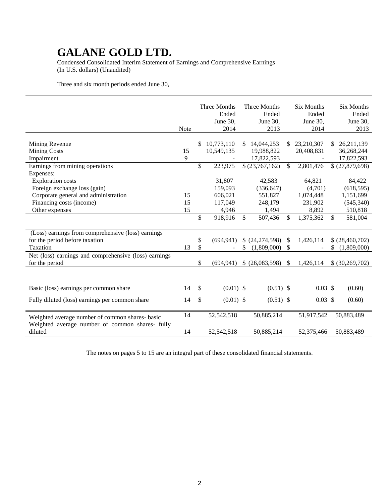Condensed Consolidated Interim Statement of Earnings and Comprehensive Earnings (In U.S. dollars) (Unaudited)

Three and six month periods ended June 30,

|                                                       |             |               | Three Months |     | Three Months    |               | <b>Six Months</b> |     | <b>Six Months</b> |
|-------------------------------------------------------|-------------|---------------|--------------|-----|-----------------|---------------|-------------------|-----|-------------------|
|                                                       |             |               | Ended        |     | Ended           |               | Ended             |     | Ended             |
|                                                       |             |               | June 30,     |     | June 30,        |               | June 30,          |     | June 30,          |
|                                                       | <b>Note</b> |               | 2014         |     | 2013            |               | 2014              |     | 2013              |
|                                                       |             |               |              |     |                 |               |                   |     |                   |
| Mining Revenue                                        |             | \$            | 10,773,110   | \$. | 14,044,253      | \$            | 23,210,307        | \$. | 26,211,139        |
| <b>Mining Costs</b>                                   | 15          |               | 10,549,135   |     | 19,988,822      |               | 20,408,831        |     | 36,268,244        |
| Impairment                                            | 9           |               |              |     | 17,822,593      |               |                   |     | 17,822,593        |
| Earnings from mining operations                       |             | \$            | 223,975      |     | \$ (23,767,162) | $\mathcal{S}$ | 2,801,476         |     | \$ (27,879,698)   |
| Expenses:                                             |             |               |              |     |                 |               |                   |     |                   |
| <b>Exploration</b> costs                              |             |               | 31,807       |     | 42,583          |               | 64,821            |     | 84,422            |
| Foreign exchange loss (gain)                          |             |               | 159,093      |     | (336, 647)      |               | (4,701)           |     | (618, 595)        |
| Corporate general and administration                  | 15          |               | 606,021      |     | 551,827         |               | 1,074,448         |     | 1,151,699         |
| Financing costs (income)                              | 15          |               | 117,049      |     | 248,179         |               | 231,902           |     | (545,340)         |
| Other expenses                                        | 15          |               | 4,946        |     | 1,494           |               | 8,892             |     | 510,818           |
|                                                       |             | \$            | 918,916      | \$  | 507,436         | \$            | 1,375,362         | \$  | 581,004           |
|                                                       |             |               |              |     |                 |               |                   |     |                   |
| (Loss) earnings from comprehensive (loss) earnings    |             |               |              |     |                 |               |                   |     |                   |
| for the period before taxation                        |             | \$            | (694, 941)   |     | (24,274,598)    | <sup>\$</sup> | 1,426,114         |     | \$ (28,460,702)   |
| Taxation                                              | 13          | \$            |              | \$  | (1,809,000)     | $\frac{1}{2}$ |                   | \$  | (1,809,000)       |
| Net (loss) earnings and comprehensive (loss) earnings |             |               |              |     |                 |               |                   |     |                   |
| for the period                                        |             | \$            | (694, 941)   |     | \$ (26,083,598) | $\mathbb{S}$  | 1,426,114         |     | \$ (30, 269, 702) |
|                                                       |             |               |              |     |                 |               |                   |     |                   |
|                                                       |             |               |              |     |                 |               |                   |     |                   |
| Basic (loss) earnings per common share                | 14          | $\mathcal{S}$ | $(0.01)$ \$  |     | $(0.51)$ \$     |               | $0.03$ \$         |     | (0.60)            |
| Fully diluted (loss) earnings per common share        | 14          | $\mathcal{S}$ | $(0.01)$ \$  |     | $(0.51)$ \$     |               | 0.03~\$           |     | (0.60)            |
|                                                       |             |               |              |     |                 |               |                   |     |                   |
| Weighted average number of common shares- basic       | 14          |               | 52,542,518   |     | 50,885,214      |               | 51,917,542        |     | 50,883,489        |
| Weighted average number of common shares- fully       |             |               |              |     |                 |               |                   |     |                   |
| diluted                                               | 14          |               | 52,542,518   |     | 50,885,214      |               | 52,375,466        |     | 50,883,489        |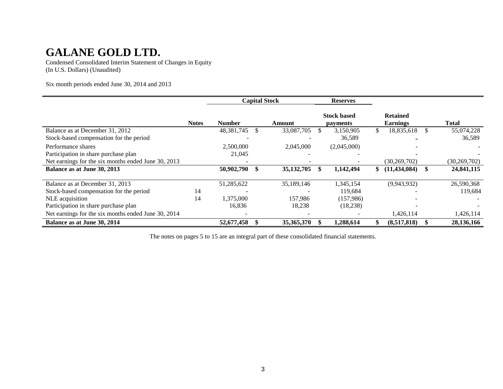Condensed Consolidated Interim Statement of Changes in Equity (In U.S. Dollars) (Unaudited)

Six month periods ended June 30, 2014 and 2013

|                                                     |              | <b>Capital Stock</b> |               |              | <b>Reserves</b>                       |                                    |                |
|-----------------------------------------------------|--------------|----------------------|---------------|--------------|---------------------------------------|------------------------------------|----------------|
|                                                     | <b>Notes</b> | <b>Number</b>        |               | Amount       | <b>Stock based</b><br><b>payments</b> | <b>Retained</b><br><b>Earnings</b> | <b>Total</b>   |
| Balance as at December 31, 2012                     |              | 48,381,745           | <sup>\$</sup> | 33,087,705   | 3,150,905                             | \$<br>18,835,618                   | 55,074,228     |
| Stock-based compensation for the period             |              |                      |               |              | 36,589                                |                                    | 36,589         |
| Performance shares                                  |              | 2.500,000            |               | 2,045,000    | (2,045,000)                           |                                    |                |
| Participation in share purchase plan                |              | 21,045               |               |              |                                       |                                    |                |
| Net earnings for the six months ended June 30, 2013 |              |                      |               |              |                                       | (30, 269, 702)                     | (30, 269, 702) |
| Balance as at June 30, 2013                         |              | 50,902,790           |               | 35, 132, 705 | 1,142,494                             | (11, 434, 084)                     | 24,841,115     |
| Balance as at December 31, 2013                     |              | 51,285,622           |               | 35,189,146   | 1,345,154                             | (9,943,932)                        | 26,590,368     |
| Stock-based compensation for the period             | 14           |                      |               |              | 119,684                               |                                    | 119,684        |
| NLE acquisition                                     | 14           | 1,375,000            |               | 157,986      | (157,986)                             |                                    |                |
| Participation in share purchase plan                |              | 16,836               |               | 18,238       | (18, 238)                             |                                    |                |
| Net earnings for the six months ended June 30, 2014 |              |                      |               |              |                                       | 1,426,114                          | 1,426,114      |
| Balance as at June 30, 2014                         |              | 52,677,458           |               | 35,365,370   | 1,288,614                             | (8,517,818)                        | 28,136,166     |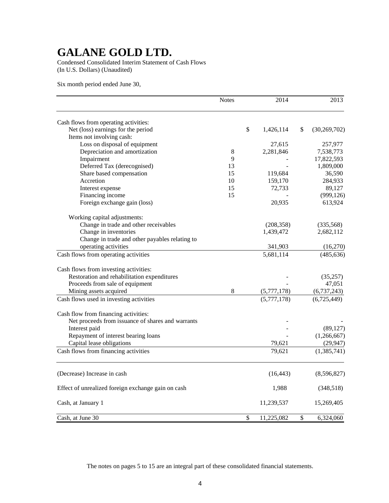Condensed Consolidated Interim Statement of Cash Flows (In U.S. Dollars) (Unaudited)

Six month period ended June 30,

|                                                    | <b>Notes</b> |               | 2014        |                           | 2013           |
|----------------------------------------------------|--------------|---------------|-------------|---------------------------|----------------|
| Cash flows from operating activities:              |              |               |             |                           |                |
| Net (loss) earnings for the period                 |              | $\mathcal{S}$ | 1,426,114   | \$                        | (30, 269, 702) |
| Items not involving cash:                          |              |               |             |                           |                |
| Loss on disposal of equipment                      |              |               | 27,615      |                           | 257,977        |
| Depreciation and amortization                      | $8\,$        |               | 2,281,846   |                           | 7,538,773      |
| Impairment                                         | 9            |               |             |                           | 17,822,593     |
| Deferred Tax (derecognised)                        | 13           |               |             |                           | 1,809,000      |
| Share based compensation                           | 15           |               | 119,684     |                           | 36,590         |
| Accretion                                          | 10           |               | 159,170     |                           | 284,933        |
| Interest expense                                   | 15           |               | 72,733      |                           | 89,127         |
| Financing income                                   | 15           |               |             |                           | (999, 126)     |
| Foreign exchange gain (loss)                       |              |               | 20,935      |                           | 613,924        |
| Working capital adjustments:                       |              |               |             |                           |                |
| Change in trade and other receivables              |              |               | (208, 358)  |                           | (335,568)      |
| Change in inventories                              |              |               | 1,439,472   |                           | 2,682,112      |
| Change in trade and other payables relating to     |              |               |             |                           |                |
| operating activities                               |              |               | 341,903     |                           | (16,270)       |
| Cash flows from operating activities               |              |               | 5,681,114   |                           | (485, 636)     |
| Cash flows from investing activities:              |              |               |             |                           |                |
| Restoration and rehabilitation expenditures        |              |               |             |                           | (35,257)       |
| Proceeds from sale of equipment                    |              |               |             |                           | 47,051         |
| Mining assets acquired                             | 8            |               | (5,777,178) |                           | (6,737,243)    |
| Cash flows used in investing activities            |              |               | (5,777,178) |                           | (6,725,449)    |
| Cash flow from financing activities:               |              |               |             |                           |                |
| Net proceeds from issuance of shares and warrants  |              |               |             |                           |                |
| Interest paid                                      |              |               |             |                           | (89, 127)      |
| Repayment of interest bearing loans                |              |               |             |                           | (1,266,667)    |
| Capital lease obligations                          |              |               | 79,621      |                           | (29, 947)      |
| Cash flows from financing activities               |              |               | 79,621      |                           | (1,385,741)    |
| (Decrease) Increase in cash                        |              |               | (16, 443)   |                           | (8,596,827)    |
| Effect of unrealized foreign exchange gain on cash |              |               | 1,988       |                           | (348,518)      |
|                                                    |              |               |             |                           |                |
| Cash, at January 1                                 |              |               | 11,239,537  |                           | 15,269,405     |
| Cash, at June 30                                   |              | $\mathcal{S}$ | 11,225,082  | $\boldsymbol{\mathsf{S}}$ | 6,324,060      |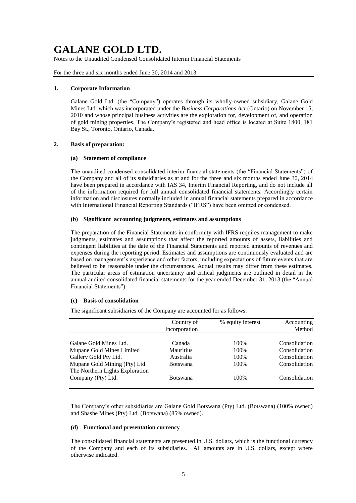Notes to the Unaudited Condensed Consolidated Interim Financial Statements

For the three and six months ended June 30, 2014 and 2013

#### **1. Corporate Information**

Galane Gold Ltd. (the "Company") operates through its wholly-owned subsidiary, Galane Gold Mines Ltd. which was incorporated under the *Business Corporations Act* (Ontario) on November 15, 2010 and whose principal business activities are the exploration for, development of, and operation of gold mining properties. The Company's registered and head office is located at Suite 1800, 181 Bay St., Toronto, Ontario, Canada.

### **2. Basis of preparation:**

#### **(a) Statement of compliance**

The unaudited condensed consolidated interim financial statements (the "Financial Statements") of the Company and all of its subsidiaries as at and for the three and six months ended June 30, 2014 have been prepared in accordance with IAS 34, Interim Financial Reporting, and do not include all of the information required for full annual consolidated financial statements. Accordingly certain information and disclosures normally included in annual financial statements prepared in accordance with International Financial Reporting Standards ("IFRS") have been omitted or condensed.

#### **(b) Significant accounting judgments, estimates and assumptions**

The preparation of the Financial Statements in conformity with IFRS requires management to make judgments, estimates and assumptions that affect the reported amounts of assets, liabilities and contingent liabilities at the date of the Financial Statements and reported amounts of revenues and expenses during the reporting period. Estimates and assumptions are continuously evaluated and are based on management's experience and other factors, including expectations of future events that are believed to be reasonable under the circumstances. Actual results may differ from these estimates. The particular areas of estimation uncertainty and critical judgments are outlined in detail in the annual audited consolidated financial statements for the year ended December 31, 2013 (the "Annual Financial Statements").

### **(c) Basis of consolidation**

The significant subsidiaries of the Company are accounted for as follows:

|                                                                                                               | Country of<br>Incorporation                                | % equity interest             | Accounting<br>Method                                             |
|---------------------------------------------------------------------------------------------------------------|------------------------------------------------------------|-------------------------------|------------------------------------------------------------------|
| Galane Gold Mines Ltd.<br>Mupane Gold Mines Limited<br>Gallery Gold Pty Ltd.<br>Mupane Gold Mining (Pty) Ltd. | Canada<br><b>Mauritius</b><br>Australia<br><b>Botswana</b> | 100%<br>100%<br>100%<br>100\% | Consolidation<br>Consolidation<br>Consolidation<br>Consolidation |
| The Northern Lights Exploration<br>Company (Pty) Ltd.                                                         | <b>Botswana</b>                                            | 100\%                         | Consolidation                                                    |

The Company's other subsidiaries are Galane Gold Botswana (Pty) Ltd. (Botswana) (100% owned) and Shashe Mines (Pty) Ltd. (Botswana) (85% owned).

### **(d) Functional and presentation currency**

The consolidated financial statements are presented in U.S. dollars, which is the functional currency of the Company and each of its subsidiaries. All amounts are in U.S. dollars, except where otherwise indicated.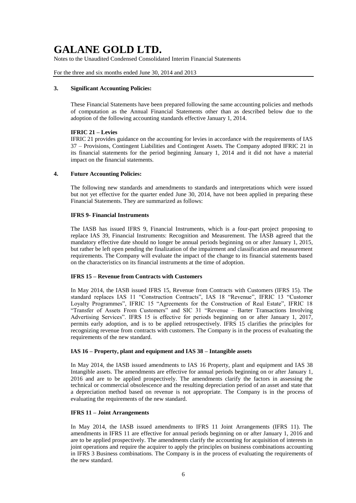Notes to the Unaudited Condensed Consolidated Interim Financial Statements

For the three and six months ended June 30, 2014 and 2013

### **3. Significant Accounting Policies:**

These Financial Statements have been prepared following the same accounting policies and methods of computation as the Annual Financial Statements other than as described below due to the adoption of the following accounting standards effective January 1, 2014.

### **IFRIC 21 – Levies**

IFRIC 21 provides guidance on the accounting for levies in accordance with the requirements of IAS 37 – Provisions, Contingent Liabilities and Contingent Assets. The Company adopted IFRIC 21 in its financial statements for the period beginning January 1, 2014 and it did not have a material impact on the financial statements.

### **4. Future Accounting Policies:**

The following new standards and amendments to standards and interpretations which were issued but not yet effective for the quarter ended June 30, 2014, have not been applied in preparing these Financial Statements. They are summarized as follows:

### **IFRS 9- Financial Instruments**

The IASB has issued IFRS 9, Financial Instruments, which is a four-part project proposing to replace IAS 39, Financial Instruments: Recognition and Measurement. The IASB agreed that the mandatory effective date should no longer be annual periods beginning on or after January 1, 2015, but rather be left open pending the finalization of the impairment and classification and measurement requirements. The Company will evaluate the impact of the change to its financial statements based on the characteristics on its financial instruments at the time of adoption.

#### **IFRS 15 – Revenue from Contracts with Customers**

In May 2014, the IASB issued IFRS 15, Revenue from Contracts with Customers (IFRS 15). The standard replaces IAS 11 "Construction Contracts", IAS 18 "Revenue", IFRIC 13 "Customer Loyalty Programmes", IFRIC 15 "Agreements for the Construction of Real Estate", IFRIC 18 "Transfer of Assets From Customers" and SIC 31 "Revenue – Barter Transactions Involving Advertising Services". IFRS 15 is effective for periods beginning on or after January 1, 2017, permits early adoption, and is to be applied retrospectively. IFRS 15 clarifies the principles for recognizing revenue from contracts with customers. The Company is in the process of evaluating the requirements of the new standard.

### **IAS 16 – Property, plant and equipment and IAS 38 – Intangible assets**

In May 2014, the IASB issued amendments to IAS 16 Property, plant and equipment and IAS 38 Intangible assets. The amendments are effective for annual periods beginning on or after January 1, 2016 and are to be applied prospectively. The amendments clarify the factors in assessing the technical or commercial obsolescence and the resulting depreciation period of an asset and state that a depreciation method based on revenue is not appropriate. The Company is in the process of evaluating the requirements of the new standard.

#### **IFRS 11 – Joint Arrangements**

In May 2014, the IASB issued amendments to IFRS 11 Joint Arrangements (IFRS 11). The amendments in IFRS 11 are effective for annual periods beginning on or after January 1, 2016 and are to be applied prospectively. The amendments clarify the accounting for acquisition of interests in joint operations and require the acquirer to apply the principles on business combinations accounting in IFRS 3 Business combinations. The Company is in the process of evaluating the requirements of the new standard.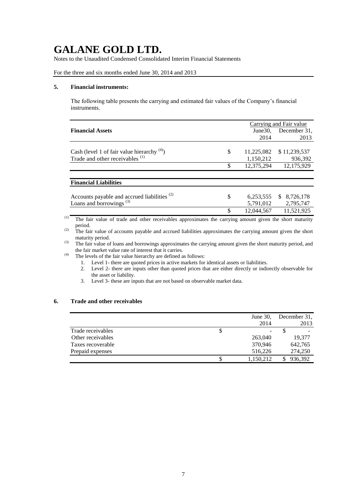Notes to the Unaudited Condensed Consolidated Interim Financial Statements

For the three and six months ended June 30, 2014 and 2013

#### **5. Financial instruments:**

The following table presents the carrying and estimated fair values of the Company's financial instruments.

|     | Carrying and Fair value |                                      |  |  |  |
|-----|-------------------------|--------------------------------------|--|--|--|
|     | June 30,                | December 31,                         |  |  |  |
|     | 2014                    | 2013                                 |  |  |  |
|     |                         |                                      |  |  |  |
|     |                         | \$11,239,537                         |  |  |  |
|     | 1,150,212               | 936,392                              |  |  |  |
| S   | 12,375,294              | 12,175,929                           |  |  |  |
|     |                         |                                      |  |  |  |
|     |                         |                                      |  |  |  |
|     |                         |                                      |  |  |  |
|     |                         | \$ 8,726,178                         |  |  |  |
|     |                         | 2,795,747                            |  |  |  |
| \$. | 12,044,567              | 11,521,925                           |  |  |  |
|     | \$<br>\$                | 11,225,082<br>6,253,555<br>5,791,012 |  |  |  |

(1) The fair value of trade and other receivables approximates the carrying amount given the short maturity period.

<sup>(2)</sup> The fair value of accounts payable and accrued liabilities approximates the carrying amount given the short maturity period.

(3) The fair value of loans and borrowings approximates the carrying amount given the short maturity period, and the fair market value rate of interest that it carries.

(4) The levels of the fair value hierarchy are defined as follows:

- 1. Level 1- there are quoted prices in active markets for identical assets or liabilities.
- 2. Level 2- there are inputs other than quoted prices that are either directly or indirectly observable for the asset or liability.
- 3. Level 3- these are inputs that are not based on observable market data.

### **6. Trade and other receivables**

|                   | June $30$ , | December 31, |
|-------------------|-------------|--------------|
|                   | 2014        | 2013         |
| Trade receivables | \$          |              |
| Other receivables | 263,040     | 19.377       |
| Taxes recoverable | 370,946     | 642,765      |
| Prepaid expenses  | 516,226     | 274,250      |
|                   | 1,150,212   | 936,392      |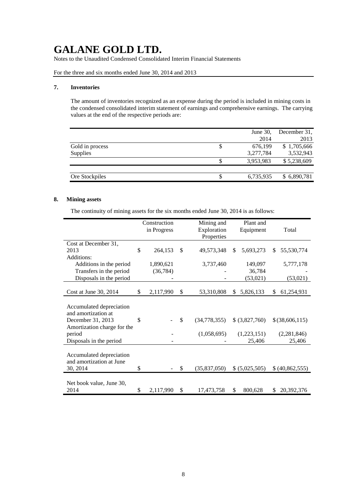Notes to the Unaudited Condensed Consolidated Interim Financial Statements

For the three and six months ended June 30, 2014 and 2013

#### **7. Inventories**

The amount of inventories recognized as an expense during the period is included in mining costs in the condensed consolidated interim statement of earnings and comprehensive earnings. The carrying values at the end of the respective periods are:

|    | June $30$ , | December 31. |
|----|-------------|--------------|
|    | 2014        | 2013         |
| \$ | 676,199     | \$1,705,666  |
|    | 3,277,784   | 3,532,943    |
|    | 3,953,983   | \$5,238,609  |
|    |             |              |
| S  | 6,735,935   | \$6,890,781  |
|    |             |              |

### **8. Mining assets**

The continuity of mining assets for the six months ended June 30, 2014 is as follows:

|                             |     | Construction |     | Mining and     | Plant and       |                   |
|-----------------------------|-----|--------------|-----|----------------|-----------------|-------------------|
|                             |     | in Progress  |     | Exploration    | Equipment       | Total             |
|                             |     |              |     | Properties     |                 |                   |
| Cost at December 31,        |     |              |     |                |                 |                   |
| 2013                        | \$  | 264,153      | \$. | 49,573,348     | \$<br>5,693,273 | 55,530,774<br>\$. |
| Additions:                  |     |              |     |                |                 |                   |
| Additions in the period     |     | 1,890,621    |     | 3,737,460      | 149,097         | 5,777,178         |
| Transfers in the period     |     | (36, 784)    |     |                | 36,784          |                   |
| Disposals in the period     |     |              |     |                | (53,021)        | (53,021)          |
|                             |     |              |     |                |                 |                   |
| Cost at June 30, 2014       | \$. | 2,117,990    | \$  | 53,310,808     | 5,826,133<br>\$ | 61,254,931<br>\$  |
|                             |     |              |     |                |                 |                   |
| Accumulated depreciation    |     |              |     |                |                 |                   |
| and amortization at         |     |              |     |                |                 |                   |
| December 31, 2013           | S   |              | \$  | (34, 778, 355) | \$ (3,827,760)  | \$(38,606,115)    |
| Amortization charge for the |     |              |     |                |                 |                   |
| period                      |     |              |     | (1,058,695)    | (1,223,151)     | (2,281,846)       |
| Disposals in the period     |     |              |     |                | 25,406          | 25,406            |
|                             |     |              |     |                |                 |                   |
| Accumulated depreciation    |     |              |     |                |                 |                   |
| and amortization at June    |     |              |     |                |                 |                   |
| 30, 2014                    | \$  |              | \$  | (35,837,050)   | \$ (5,025,505)  | \$ (40,862,555)   |
|                             |     |              |     |                |                 |                   |
| Net book value, June 30,    |     |              |     |                |                 |                   |
| 2014                        | \$  | 2,117,990    | \$  | 17,473,758     | \$<br>800,628   | 20,392,376<br>\$  |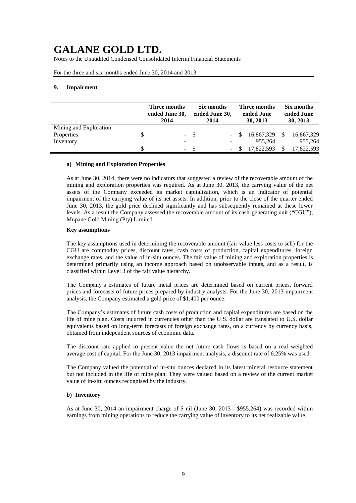Notes to the Unaudited Condensed Consolidated Interim Financial Statements

For the three and six months ended June 30, 2014 and 2013

### **9. Impairment**

|                        | 2014 | Three months<br>ended June 30, |       | Six months<br>ended June 30,<br>2014 |    | Three months<br>ended June<br>30, 2013 | Six months<br>ended June<br>30, 2013 |            |  |
|------------------------|------|--------------------------------|-------|--------------------------------------|----|----------------------------------------|--------------------------------------|------------|--|
| Mining and Exploration |      |                                |       |                                      |    |                                        |                                      |            |  |
| Properties             |      |                                | $- S$ |                                      | -8 | 16,867,329                             | -S                                   | 16,867,329 |  |
| Inventory              |      | -                              |       |                                      |    | 955,264                                |                                      | 955,264    |  |
|                        |      | $\overline{\phantom{a}}$       |       |                                      |    | 17.822.593                             |                                      | 17,822,593 |  |

#### **a) Mining and Exploration Properties**

As at June 30, 2014, there were no indicators that suggested a review of the recoverable amount of the mining and exploration properties was required. As at June 30, 2013, the carrying value of the net assets of the Company exceeded its market capitalization, which is an indicator of potential impairment of the carrying value of its net assets. In addition, prior to the close of the quarter ended June 30, 2013, the gold price declined significantly and has subsequently remained at these lower levels. As a result the Company assessed the recoverable amount of its cash-generating unit ("CGU"), Mupane Gold Mining (Pty) Limited.

#### **Key assumptions**

The key assumptions used in determining the recoverable amount (fair value less costs to sell) for the CGU are commodity prices, discount rates, cash costs of production, capital expenditures, foreign exchange rates, and the value of in-situ ounces. The fair value of mining and exploration properties is determined primarily using an income approach based on unobservable inputs, and as a result, is classified within Level 3 of the fair value hierarchy.

The Company's estimates of future metal prices are determined based on current prices, forward prices and forecasts of future prices prepared by industry analysts. For the June 30, 2013 impairment analysis, the Company estimated a gold price of \$1,400 per ounce.

The Company's estimates of future cash costs of production and capital expenditures are based on the life of mine plan. Costs incurred in currencies other than the U.S. dollar are translated to U.S. dollar equivalents based on long-term forecasts of foreign exchange rates, on a currency by currency basis, obtained from independent sources of economic data.

The discount rate applied to present value the net future cash flows is based on a real weighted average cost of capital. For the June 30, 2013 impairment analysis, a discount rate of 6.25% was used.

The Company valued the potential of in-situ ounces declared in its latest mineral resource statement but not included in the life of mine plan. They were valued based on a review of the current market value of in-situ ounces recognised by the industry.

### **b) Inventory**

As at June 30, 2014 an impairment charge of \$ nil (June 30, 2013 - \$955,264) was recorded within earnings from mining operations to reduce the carrying value of inventory to its net realizable value.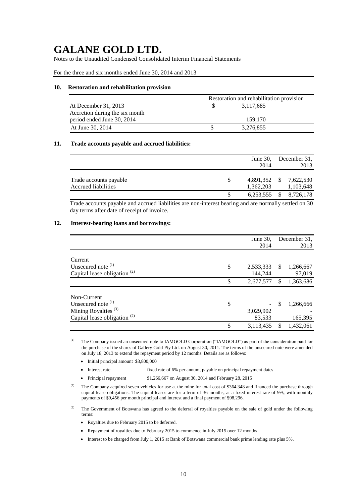Notes to the Unaudited Condensed Consolidated Interim Financial Statements

For the three and six months ended June 30, 2014 and 2013

#### **10. Restoration and rehabilitation provision**

|                                | Restoration and rehabilitation provision |
|--------------------------------|------------------------------------------|
| At December 31, 2013           | 3,117,685                                |
| Accretion during the six month |                                          |
| period ended June 30, 2014     | 159.170                                  |
| At June 30, 2014               | 3,276,855                                |

#### **11. Trade accounts payable and accrued liabilities:**

|                        |              |     | June 30, December 31, |
|------------------------|--------------|-----|-----------------------|
|                        | 2014         |     | 2013                  |
|                        |              |     |                       |
| Trade accounts payable | 4,891,352 \$ |     | 7,622,530             |
| Accrued liabilities    | 1,362,203    |     | 1,103,648             |
|                        | 6,253,555    | \$. | 8,726,178             |

Trade accounts payable and accrued liabilities are non-interest bearing and are normally settled on 30 day terms after date of receipt of invoice.

### **12. Interest-bearing loans and borrowings:**

|                                 | June $30$ .     |     | December 31, |
|---------------------------------|-----------------|-----|--------------|
|                                 | 2014            |     | 2013         |
|                                 |                 |     |              |
| Current                         |                 |     |              |
| Unsecured note <sup>(1)</sup>   | \$<br>2,533,333 | S   | 1,266,667    |
| Capital lease obligation $(2)$  | 144,244         |     | 97,019       |
|                                 | \$<br>2,677,577 | \$  | 1,363,686    |
|                                 |                 |     |              |
| Non-Current                     |                 |     |              |
| Unsecured note $(1)$            | \$              | \$. | 1,266,666    |
| Mining Royalties <sup>(3)</sup> | 3,029,902       |     |              |
| Capital lease obligation $(2)$  | 83,533          |     | 165,395      |
|                                 | \$<br>3,113,435 | \$  | 1,432,061    |

(1) The Company issued an unsecured note to IAMGOLD Corporation ("IAMGOLD") as part of the consideration paid for the purchase of the shares of Gallery Gold Pty Ltd. on August 30, 2011. The terms of the unsecured note were amended on July 18, 2013 to extend the repayment period by 12 months. Details are as follows:

- Initial principal amount \$3,800,000
- Interest rate fixed rate of 6% per annum, payable on principal repayment dates
- Principal repayment \$1,266,667 on August 30, 2014 and February 28, 2015

<sup>(3)</sup> The Government of Botswana has agreed to the deferral of royalties payable on the sale of gold under the following terms:

- Royalties due to February 2015 to be deferred.
- Repayment of royalties due to February 2015 to commence in July 2015 over 12 months
- Interest to be charged from July 1, 2015 at Bank of Botswana commercial bank prime lending rate plus 5%.

<sup>&</sup>lt;sup>(2)</sup> The Company acquired seven vehicles for use at the mine for total cost of \$364,348 and financed the purchase through capital lease obligations. The capital leases are for a term of 36 months, at a fixed interest rate of 9%, with monthly payments of \$9,456 per month principal and interest and a final payment of \$98,296.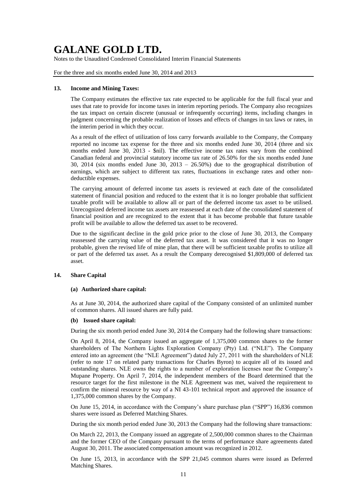Notes to the Unaudited Condensed Consolidated Interim Financial Statements

For the three and six months ended June 30, 2014 and 2013

### **13. Income and Mining Taxes:**

The Company estimates the effective tax rate expected to be applicable for the full fiscal year and uses that rate to provide for income taxes in interim reporting periods. The Company also recognizes the tax impact on certain discrete (unusual or infrequently occurring) items, including changes in judgment concerning the probable realization of losses and effects of changes in tax laws or rates, in the interim period in which they occur.

As a result of the effect of utilization of loss carry forwards available to the Company, the Company reported no income tax expense for the three and six months ended June 30, 2014 (three and six months ended June 30, 2013 - \$nil). The effective income tax rates vary from the combined Canadian federal and provincial statutory income tax rate of 26.50% for the six months ended June 30, 2014 (six months ended June 30, 2013 – 26.50%) due to the geographical distribution of earnings, which are subject to different tax rates, fluctuations in exchange rates and other nondeductible expenses.

The carrying amount of deferred income tax assets is reviewed at each date of the consolidated statement of financial position and reduced to the extent that it is no longer probable that sufficient taxable profit will be available to allow all or part of the deferred income tax asset to be utilised. Unrecognized deferred income tax assets are reassessed at each date of the consolidated statement of financial position and are recognized to the extent that it has become probable that future taxable profit will be available to allow the deferred tax asset to be recovered.

Due to the significant decline in the gold price prior to the close of June 30, 2013, the Company reassessed the carrying value of the deferred tax asset. It was considered that it was no longer probable, given the revised life of mine plan, that there will be sufficient taxable profits to utilize all or part of the deferred tax asset. As a result the Company derecognised \$1,809,000 of deferred tax asset.

### **14. Share Capital**

#### **(a) Authorized share capital:**

As at June 30, 2014, the authorized share capital of the Company consisted of an unlimited number of common shares. All issued shares are fully paid.

#### **(b) Issued share capital:**

During the six month period ended June 30, 2014 the Company had the following share transactions:

On April 8, 2014, the Company issued an aggregate of 1,375,000 common shares to the former shareholders of The Northern Lights Exploration Company (Pty) Ltd. ("NLE"). The Company entered into an agreement (the "NLE Agreement") dated July 27, 2011 with the shareholders of NLE (refer to note 17 on related party transactions for Charles Byron) to acquire all of its issued and outstanding shares. NLE owns the rights to a number of exploration licenses near the Company's Mupane Property. On April 7, 2014, the independent members of the Board determined that the resource target for the first milestone in the NLE Agreement was met, waived the requirement to confirm the mineral resource by way of a NI 43-101 technical report and approved the issuance of 1,375,000 common shares by the Company.

On June 15, 2014, in accordance with the Company's share purchase plan ("SPP") 16,836 common shares were issued as Deferred Matching Shares.

During the six month period ended June 30, 2013 the Company had the following share transactions:

On March 22, 2013, the Company issued an aggregate of 2,500,000 common shares to the Chairman and the former CEO of the Company pursuant to the terms of performance share agreements dated August 30, 2011. The associated compensation amount was recognized in 2012.

On June 15, 2013, in accordance with the SPP 21,045 common shares were issued as Deferred Matching Shares.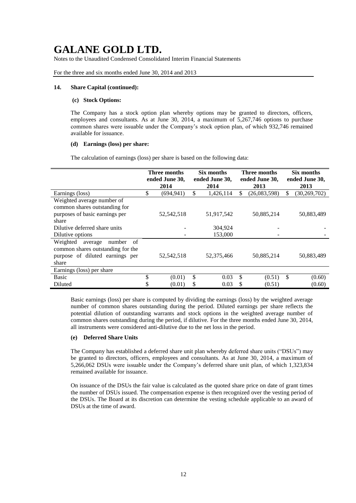Notes to the Unaudited Condensed Consolidated Interim Financial Statements

For the three and six months ended June 30, 2014 and 2013

### **14. Share Capital (continued):**

#### **(c) Stock Options:**

The Company has a stock option plan whereby options may be granted to directors, officers, employees and consultants. As at June 30, 2014, a maximum of 5,267,746 options to purchase common shares were issuable under the Company's stock option plan, of which 932,746 remained available for issuance.

### **(d) Earnings (loss) per share:**

The calculation of earnings (loss) per share is based on the following data:

|                                                                                               |    | Three months<br>ended June 30,<br>2014 | Six months<br>ended June 30,<br>2014 |            | <b>Three months</b><br>ended June 30,<br>2013 |              |               | Six months<br>ended June 30,<br>2013 |
|-----------------------------------------------------------------------------------------------|----|----------------------------------------|--------------------------------------|------------|-----------------------------------------------|--------------|---------------|--------------------------------------|
| Earnings (loss)                                                                               | \$ | (694, 941)                             | \$                                   | 1,426,114  | S                                             | (26,083,598) | S.            | (30, 269, 702)                       |
| Weighted average number of<br>common shares outstanding for<br>purposes of basic earnings per |    | 52,542,518                             |                                      | 51,917,542 |                                               | 50,885,214   |               | 50,883,489                           |
| share                                                                                         |    |                                        |                                      |            |                                               |              |               |                                      |
| Dilutive deferred share units                                                                 |    |                                        |                                      | 304,924    |                                               |              |               |                                      |
| Dilutive options                                                                              |    |                                        |                                      | 153,000    |                                               |              |               |                                      |
| Weighted<br>number<br>of<br>average<br>common shares outstanding for the                      |    |                                        |                                      |            |                                               |              |               |                                      |
| purpose of diluted earnings per<br>share                                                      |    | 52,542,518                             |                                      | 52,375,466 |                                               | 50,885,214   |               | 50,883,489                           |
| Earnings (loss) per share                                                                     |    |                                        |                                      |            |                                               |              |               |                                      |
| <b>Basic</b>                                                                                  | \$ | (0.01)                                 | \$                                   | 0.03       | S                                             | (0.51)       | <sup>\$</sup> | (0.60)                               |
| Diluted                                                                                       | S  | (0.01)                                 | \$                                   | 0.03       | S                                             | (0.51)       |               | (0.60)                               |

Basic earnings (loss) per share is computed by dividing the earnings (loss) by the weighted average number of common shares outstanding during the period. Diluted earnings per share reflects the potential dilution of outstanding warrants and stock options in the weighted average number of common shares outstanding during the period, if dilutive. For the three months ended June 30, 2014, all instruments were considered anti-dilutive due to the net loss in the period.

### **(e) Deferred Share Units**

The Company has established a deferred share unit plan whereby deferred share units ("DSUs") may be granted to directors, officers, employees and consultants. As at June 30, 2014, a maximum of 5,266,062 DSUs were issuable under the Company's deferred share unit plan, of which 1,323,834 remained available for issuance.

On issuance of the DSUs the fair value is calculated as the quoted share price on date of grant times the number of DSUs issued. The compensation expense is then recognized over the vesting period of the DSUs. The Board at its discretion can determine the vesting schedule applicable to an award of DSUs at the time of award.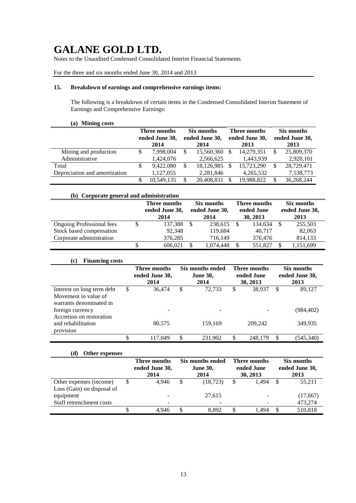Notes to the Unaudited Condensed Consolidated Interim Financial Statements

For the three and six months ended June 30, 2014 and 2013

### **15. Breakdown of earnings and comprehensive earnings items:**

The following is a breakdown of certain items in the Condensed Consolidated Interim Statement of Earnings and Comprehensive Earnings:

### **(a) Mining costs**

|                               | Three months<br>ended June 30, |            | Six months<br>ended June 30, |            | Three months<br>ended June 30, |            | Six months<br>ended June 30, |            |
|-------------------------------|--------------------------------|------------|------------------------------|------------|--------------------------------|------------|------------------------------|------------|
|                               |                                | 2014       |                              | 2014       |                                | 2013       |                              | 2013       |
| Mining and production         |                                | 7,998,004  | S                            | 15,560,360 |                                | 14,279,351 |                              | 25,809,370 |
| Administrative                |                                | 1,424,076  |                              | 2,566,625  |                                | 1,443,939  |                              | 2,920,101  |
| Total                         |                                | 9.422,080  | S                            | 18,126,985 |                                | 15,723,290 |                              | 28,729,471 |
| Depreciation and amortization |                                | 1,127,055  |                              | 2,281,846  |                                | 4,265,532  |                              | 7,538,773  |
|                               |                                | 10,549,135 |                              | 20,408,831 |                                | 19,988,822 |                              | 36,268,244 |

| (b) Corporate general and administration |                                        |    |                                      |  |                                        |  |                                      |  |
|------------------------------------------|----------------------------------------|----|--------------------------------------|--|----------------------------------------|--|--------------------------------------|--|
|                                          | Three months<br>ended June 30,<br>2014 |    | Six months<br>ended June 30,<br>2014 |  | Three months<br>ended June<br>30, 2013 |  | Six months<br>ended June 30,<br>2013 |  |
|                                          |                                        |    |                                      |  |                                        |  |                                      |  |
| <b>Ongoing Professional fees</b>         | 137,388                                | -S | 238,615                              |  | 134,634                                |  | 255,503                              |  |
| Stock based compensation                 | 92.348                                 |    | 119,684                              |  | 40.717                                 |  | 82,063                               |  |
| Corporate administration                 | 376,285                                |    | 716,149                              |  | 376,476                                |  | 814,133                              |  |
|                                          | 606.021                                | S  | 1.074.448                            |  | 551.827                                |  | 1,151,699                            |  |

### **(c) Financing costs**

|                                                                               |    | Three months<br>ended June 30,<br>2014 |    | Six months ended<br><b>June 30,</b><br>2014 | Three months<br>ended June<br>30, 2013 |    | Six months<br>ended June 30,<br>2013 |
|-------------------------------------------------------------------------------|----|----------------------------------------|----|---------------------------------------------|----------------------------------------|----|--------------------------------------|
| Interest on long term debt<br>Movement in value of<br>warrants denominated in | S  | 36,474                                 | \$ | 72,733                                      | \$<br>38,937                           | \$ | 89,127                               |
| foreign currency<br>Accretion on restoration                                  |    |                                        |    | -                                           |                                        |    | (984, 402)                           |
| and rehabilitation<br>provision                                               |    | 80,575                                 |    | 159,169                                     | 209,242                                |    | 349,935                              |
|                                                                               | \$ | 117.049                                | S  | 231,902                                     | \$<br>248,179                          | \$ | (545, 340)                           |

### **(d) Other expenses**

|                            | Three months<br>ended June 30,<br>2014 |    | Six months ended<br><b>June 30,</b><br>2014 | Three months<br>ended June<br>30, 2013 |                          | Six months<br>ended June 30,<br>2013 |          |
|----------------------------|----------------------------------------|----|---------------------------------------------|----------------------------------------|--------------------------|--------------------------------------|----------|
| Other expenses (income)    | 4.946                                  | S  | (18, 723)                                   | S                                      | 1.494                    | -S                                   | 55.211   |
| Loss (Gain) on disposal of |                                        |    |                                             |                                        |                          |                                      |          |
| equipment                  |                                        |    | 27.615                                      |                                        | $\overline{\phantom{a}}$ |                                      | (17,667) |
| Staff retrenchment costs   |                                        |    | $\overline{\phantom{a}}$                    |                                        |                          |                                      | 473,274  |
|                            | 4.946                                  | S. | 8.892                                       | S                                      | .494                     | <b>S</b>                             | 510,818  |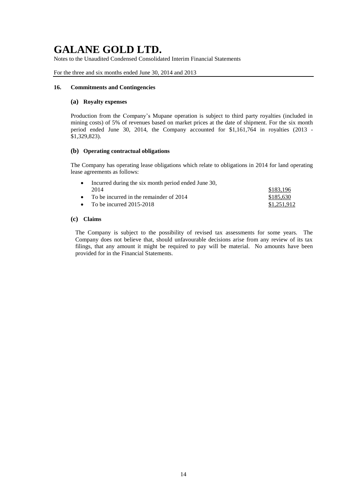Notes to the Unaudited Condensed Consolidated Interim Financial Statements

For the three and six months ended June 30, 2014 and 2013

### **16. Commitments and Contingencies**

### **(a) Royalty expenses**

Production from the Company's Mupane operation is subject to third party royalties (included in mining costs) of 5% of revenues based on market prices at the date of shipment. For the six month period ended June 30, 2014, the Company accounted for \$1,161,764 in royalties (2013 - \$1,329,823).

### **(b) Operating contractual obligations**

The Company has operating lease obligations which relate to obligations in 2014 for land operating lease agreements as follows:

| • Incurred during the six month period ended June 30, |             |
|-------------------------------------------------------|-------------|
| 2014                                                  | \$183.196   |
| • To be incurred in the remainder of $2014$           | \$185.630   |
| • To be incurred $2015-2018$                          | \$1,251,912 |

### **(c) Claims**

The Company is subject to the possibility of revised tax assessments for some years. The Company does not believe that, should unfavourable decisions arise from any review of its tax filings, that any amount it might be required to pay will be material. No amounts have been provided for in the Financial Statements.